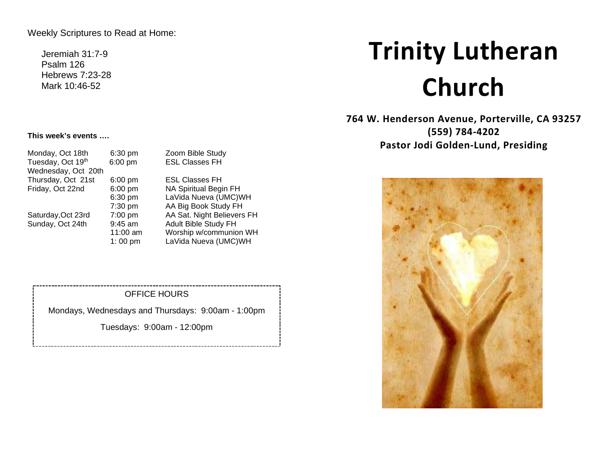Weekly Scriptures to Read at Home:

Jeremiah 31:7-9 Psalm 126 Hebrews 7:23-28 Mark 10:46-52

# **Trinity Lutheran Church**

**764 W. Henderson Avenue, Porterville, CA 93257 (559) 784-4202 Pastor Jodi Golden-Lund, Presiding**



#### **This week's events ….**

|           | Zoom Bible Study           |
|-----------|----------------------------|
| $6:00$ pm | <b>ESL Classes FH</b>      |
|           |                            |
| $6:00$ pm | <b>ESL Classes FH</b>      |
| $6:00$ pm | NA Spiritual Begin FH      |
| 6:30 pm   | LaVida Nueva (UMC)WH       |
| 7:30 pm   | AA Big Book Study FH       |
| $7:00$ pm | AA Sat. Night Believers FH |
| $9:45$ am | Adult Bible Study FH       |
| 11:00 am  | Worship w/communion WH     |
| 1:00 pm   | LaVida Nueva (UMC)WH       |
|           | 6:30 pm                    |

## OFFICE HOURS

Mondays, Wednesdays and Thursdays: 9:00am - 1:00pm

Tuesdays: 9:00am - 12:00pm